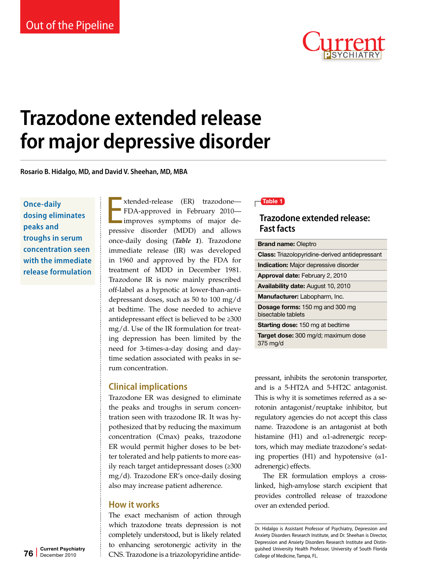

# **Trazodone extended release for major depressive disorder**

**Rosario B. Hidalgo, MD, and David V. Sheehan, MD, MBA**

**Once-daily dosing eliminates peaks and troughs in serum concentration seen with the immediate release formulation** xtended-release (ER) trazodone—<br>FDA-approved in February 2010—<br>improves symptoms of major de-<br>pressive disorder (MDD) and allows xtended-release (ER) trazodone— FDA-approved in February 2010 improves symptoms of major deonce-daily dosing (*Table 1*). Trazodone immediate release (IR) was developed in 1960 and approved by the FDA for treatment of MDD in December 1981. Trazodone IR is now mainly prescribed off-label as a hypnotic at lower-than-antidepressant doses, such as 50 to 100 mg/d at bedtime. The dose needed to achieve antidepressant effect is believed to be ≥300 mg/d. Use of the IR formulation for treating depression has been limited by the need for 3-times-a-day dosing and daytime sedation associated with peaks in serum concentration.

## **Clinical implications**

Trazodone ER was designed to eliminate the peaks and troughs in serum concentration seen with trazodone IR. It was hypothesized that by reducing the maximum concentration (Cmax) peaks, trazodone ER would permit higher doses to be better tolerated and help patients to more easily reach target antidepressant doses (≥300 mg/d). Trazodone ER's once-daily dosing also may increase patient adherence.

## **How it works**

The exact mechanism of action through which trazodone treats depression is not completely understood, but is likely related to enhancing serotonergic activity in the CNS. Trazodone is a triazolopyridine antide-

### $\blacksquare$ Table 1

## **Trazodone extended release: Fast facts**

| <b>Brand name: Oleptro</b>                                   |  |  |
|--------------------------------------------------------------|--|--|
| <b>Class:</b> Triazolopyridine-derived antidepressant        |  |  |
| <b>Indication:</b> Major depressive disorder                 |  |  |
| <b>Approval date: February 2, 2010</b>                       |  |  |
| Availability date: August 10, 2010                           |  |  |
| <b>Manufacturer:</b> Labopharm, Inc.                         |  |  |
| <b>Dosage forms:</b> 150 mg and 300 mg<br>bisectable tablets |  |  |
| <b>Starting dose: 150 mg at bedtime</b>                      |  |  |
| Target dose: 300 mg/d; maximum dose<br>$375 \text{ mg/d}$    |  |  |

pressant, inhibits the serotonin transporter, and is a 5-HT2A and 5-HT2C antagonist. This is why it is sometimes referred as a serotonin antagonist/reuptake inhibitor, but regulatory agencies do not accept this class name. Trazodone is an antagonist at both histamine (H1) and α1-adrenergic receptors, which may mediate trazodone's sedating properties (H1) and hypotensive  $(\alpha 1$ adrenergic) effects.

The ER formulation employs a crosslinked, high-amylose starch excipient that provides controlled release of trazodone over an extended period.

Dr. Hidalgo is Assistant Professor of Psychiatry, Depression and Anxiety Disorders Research Institute, and Dr. Sheehan is Director, Depression and Anxiety Disorders Research Institute and Distinguished University Health Professor, University of South Florida College of Medicine, Tampa, FL.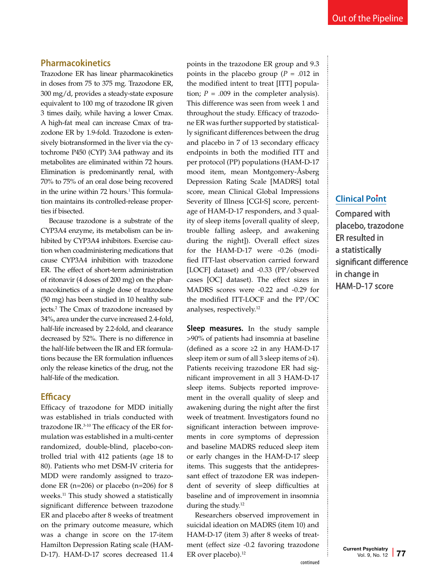## **Pharmacokinetics**

Trazodone ER has linear pharmacokinetics in doses from 75 to 375 mg. Trazodone ER, 300 mg/d, provides a steady-state exposure equivalent to 100 mg of trazodone IR given 3 times daily, while having a lower Cmax. A high-fat meal can increase Cmax of trazodone ER by 1.9-fold. Trazodone is extensively biotransformed in the liver via the cytochrome P450 (CYP) 3A4 pathway and its metabolites are eliminated within 72 hours. Elimination is predominantly renal, with 70% to 75% of an oral dose being recovered in the urine within 72 hours.<sup>1</sup> This formulation maintains its controlled-release properties if bisected.

Because trazodone is a substrate of the CYP3A4 enzyme, its metabolism can be inhibited by CYP3A4 inhibitors. Exercise caution when coadministering medications that cause CYP3A4 inhibition with trazodone ER. The effect of short-term administration of ritonavir (4 doses of 200 mg) on the pharmacokinetics of a single dose of trazodone (50 mg) has been studied in 10 healthy subjects.2 The Cmax of trazodone increased by 34%, area under the curve increased 2.4-fold, half-life increased by 2.2-fold, and clearance decreased by 52%. There is no difference in the half-life between the IR and ER formulations because the ER formulation influences only the release kinetics of the drug, not the half-life of the medication.

## **Efficacy**

Efficacy of trazodone for MDD initially was established in trials conducted with trazodone IR.3-10 The efficacy of the ER formulation was established in a multi-center randomized, double-blind, placebo-controlled trial with 412 patients (age 18 to 80). Patients who met DSM-IV criteria for MDD were randomly assigned to trazodone ER (n=206) or placebo (n=206) for 8 weeks.<sup>11</sup> This study showed a statistically significant difference between trazodone ER and placebo after 8 weeks of treatment on the primary outcome measure, which was a change in score on the 17-item Hamilton Depression Rating scale (HAM-D-17). HAM-D-17 scores decreased 11.4 points in the trazodone ER group and 9.3 points in the placebo group ( $P = .012$  in the modified intent to treat [ITT] population;  $P = .009$  in the completer analysis). This difference was seen from week 1 and throughout the study. Efficacy of trazodone ER was further supported by statistically significant differences between the drug and placebo in 7 of 13 secondary efficacy endpoints in both the modified ITT and per protocol (PP) populations (HAM-D-17 mood item, mean Montgomery-Åsberg Depression Rating Scale [MADRS] total score, mean Clinical Global Impressions Severity of Illness [CGI-S] score, percentage of HAM-D-17 responders, and 3 quality of sleep items [overall quality of sleep, trouble falling asleep, and awakening during the night]). Overall effect sizes for the HAM-D-17 were -0.26 (modified ITT-last observation carried forward [LOCF] dataset) and -0.33 (PP/observed cases [OC] dataset). The effect sizes in MADRS scores were -0.22 and -0.29 for the modified ITT-LOCF and the PP/OC analyses, respectively.12

**Sleep measures.** In the study sample >90% of patients had insomnia at baseline (defined as a score ≥2 in any HAM-D-17 sleep item or sum of all 3 sleep items of ≥4). Patients receiving trazodone ER had significant improvement in all 3 HAM-D-17 sleep items. Subjects reported improvement in the overall quality of sleep and awakening during the night after the first week of treatment. Investigators found no significant interaction between improvements in core symptoms of depression and baseline MADRS reduced sleep item or early changes in the HAM-D-17 sleep items. This suggests that the antidepressant effect of trazodone ER was independent of severity of sleep difficulties at baseline and of improvement in insomnia during the study.<sup>12</sup>

Researchers observed improvement in suicidal ideation on MADRS (item 10) and HAM-D-17 (item 3) after 8 weeks of treatment (effect size -0.2 favoring trazodone ER over placebo).<sup>12</sup>

## **Clinical Point**

Compared with placebo, trazodone ER resulted in a statistically significant difference in change in HAM-D-17 score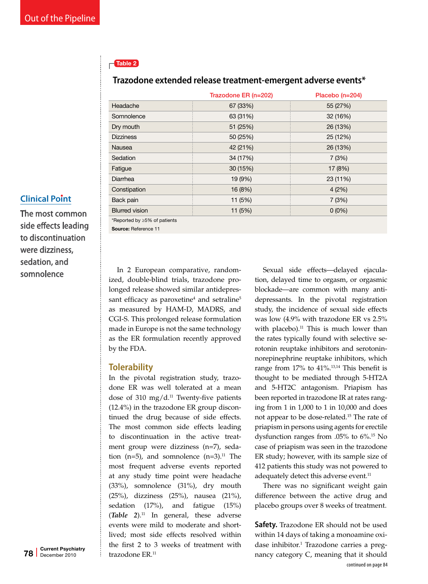## $\Gamma$ Table 2

## **Trazodone extended release treatment-emergent adverse events\***

|                              | Trazodone ER (n=202) | Placebo (n=204) |
|------------------------------|----------------------|-----------------|
| Headache                     | 67 (33%)             | 55 (27%)        |
| Somnolence                   | 63 (31%)             | 32 (16%)        |
| Dry mouth                    | 51 (25%)             | 26 (13%)        |
| <b>Dizziness</b>             | 50 (25%)             | 25 (12%)        |
| <b>Nausea</b>                | 42 (21%)             | 26 (13%)        |
| Sedation                     | 34 (17%)             | 7(3%)           |
| Fatigue                      | 30 (15%)             | 17 (8%)         |
| Diarrhea                     | 19 (9%)              | 23 (11%)        |
| Constipation                 | 16 (8%)              | 4(2%)           |
| Back pain                    | 11 (5%)              | 7(3%)           |
| <b>Blurred vision</b>        | 11 (5%)              | $0(0\%)$        |
| *Reported by ≥5% of patients |                      |                 |

## **Clinical Point**

The most common side effects leading to discontinuation were dizziness, sedation, and somnolence

In 2 European comparative, randomized, double-blind trials, trazodone prolonged release showed similar antidepressant efficacy as paroxetine<sup>4</sup> and setraline<sup>5</sup> as measured by HAM-D, MADRS, and CGI-S. This prolonged release formulation made in Europe is not the same technology as the ER formulation recently approved

## **Tolerability**

by the FDA.

Source: Reference 11

In the pivotal registration study, trazodone ER was well tolerated at a mean dose of 310 mg/d. $11$  Twenty-five patients (12.4%) in the trazodone ER group discontinued the drug because of side effects. The most common side effects leading to discontinuation in the active treatment group were dizziness (n=7), sedation (n=5), and somnolence (n=3).<sup>11</sup> The most frequent adverse events reported at any study time point were headache (33%), somnolence (31%), dry mouth (25%), dizziness (25%), nausea (21%), sedation (17%), and fatigue (15%)  $(Table \ 2)$ .<sup>11</sup> In general, these adverse events were mild to moderate and shortlived; most side effects resolved within the first 2 to 3 weeks of treatment with trazodone ER.<sup>11</sup>

Sexual side effects—delayed ejaculation, delayed time to orgasm, or orgasmic blockade—are common with many antidepressants. In the pivotal registration study, the incidence of sexual side effects was low (4.9% with trazodone ER vs 2.5% with placebo). $11$  This is much lower than the rates typically found with selective serotonin reuptake inhibitors and serotoninnorepinephrine reuptake inhibitors, which range from 17% to 41%.<sup>13,14</sup> This benefit is thought to be mediated through 5-HT2A and 5-HT2C antagonism. Priapism has been reported in trazodone IR at rates ranging from 1 in 1,000 to 1 in 10,000 and does not appear to be dose-related.15 The rate of priapism in persons using agents for erectile dysfunction ranges from .05% to 6%.15 No case of priapism was seen in the trazodone ER study; however, with its sample size of 412 patients this study was not powered to adequately detect this adverse event.<sup>11</sup>

There was no significant weight gain difference between the active drug and placebo groups over 8 weeks of treatment.

**Safety.** Trazodone ER should not be used within 14 days of taking a monoamine oxidase inhibitor.<sup>1</sup> Trazodone carries a pregnancy category C, meaning that it should continued on page 84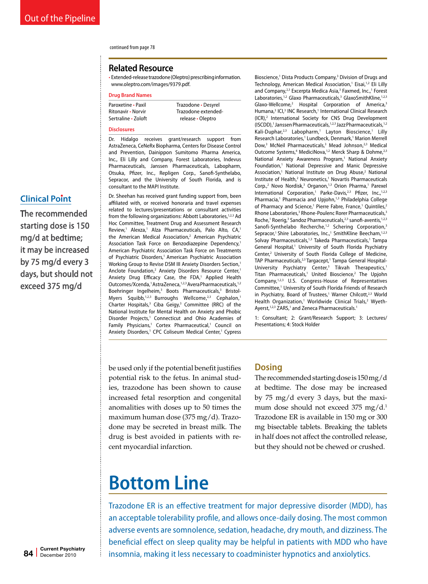#### continued from page 78

#### **Related Resource**

• Extended-release trazodone (Oleptro) prescribing information. www.oleptro.com/images/9379.pdf.

#### **Drug Brand Names**

Paroxetine • Paxil Trazodone • Desyrel

## Ritonavir • Norvir Trazodone extended-Sertraline • Zoloft release • Oleptro

#### **Disclosures**

Dr. Hidalgo receives grant/research support from AstraZeneca, CeNeRx Biopharma, Centers for Disease Control and Prevention, Dainippon Sumitomo Pharma America, Inc., Eli Lilly and Company, Forest Laboratories, Indevus Pharmaceuticals, Janssen Pharmaceuticals, Labopharm, Otsuka, Pfizer, Inc., Repligen Corp., Sanofi-Synthelabo, Sepracor, and the University of South Florida, and is consultant to the MAPI Institute.

Dr. Sheehan has received grant funding support from, been affiliated with, or received honoraria and travel expenses related to lectures/presentations or consultant activities from the following organizations: Abbott Laboratories,<sup>1,2,3</sup> Ad Hoc Committee, Treatment Drug and Assessment Research Review,<sup>1</sup> Alexza,<sup>1</sup> Alza Pharmaceuticals, Palo Alto, CA,<sup>1</sup> the American Medical Association,<sup>2</sup> American Psychiatric Association Task Force on Benzodiazepine Dependency,<sup>1</sup> American Psychiatric Association Task Force on Treatments of Psychiatric Disorders,<sup>1</sup> American Psychiatric Association Working Group to Revise DSM III Anxiety Disorders Section,<sup>1</sup> Anclote Foundation,<sup>2</sup> Anxiety Disorders Resource Center,<sup>1</sup> Anxiety Drug Efficacy Case, the FDA,<sup>1</sup> Applied Health Outcomes/Xcenda,<sup>1</sup> AstraZeneca,<sup>1,2,3</sup> Avera Pharmaceuticals,<sup>1,2</sup> Boehringer Ingelheim,<sup>3</sup> Boots Pharmaceuticals,<sup>3</sup> Bristol-Myers Squibb,<sup>1,2,3</sup> Burroughs Wellcome,<sup>2,3</sup> Cephalon,<sup>1</sup> Charter Hospitals,<sup>3</sup> Ciba Geigy,<sup>3</sup> Committee (RRC) of the National Institute for Mental Health on Anxiety and Phobic Disorder Projects,<sup>1</sup> Connecticut and Ohio Academies of Family Physicians,<sup>1</sup> Cortex Pharmaceutical,<sup>1</sup> Council on Anxiety Disorders,<sup>1</sup> CPC Coliseum Medical Center,<sup>1</sup> Cypress

Bioscience,<sup>1</sup> Dista Products Company,<sup>3</sup> Division of Drugs and Technology, American Medical Association,<sup>1</sup> Eisai,<sup>1,2</sup> Eli Lilly and Company,<sup>2,3</sup> Excerpta Medica Asia,<sup>3</sup> Faxmed, Inc.,<sup>1</sup> Forest Laboratories,<sup>1,2</sup> Glaxo Pharmaceuticals,<sup>3</sup> GlaxoSmithKline,<sup>1,2,3</sup> Glaxo-Wellcome,<sup>2</sup> Hospital Corporation of America,<sup>3</sup> Humana,<sup>3</sup> ICI,<sup>3</sup> INC Research,<sup>1</sup> International Clinical Research (ICR),2 International Society for CNS Drug Development (ISCDD),<sup>1</sup> Janssen Pharmaceuticals,<sup>1,2,3</sup> Jazz Pharmaceuticals,<sup>1,2</sup> Kali-Duphar,<sup>2,3</sup> Labopharm,<sup>1</sup> Layton Bioscience,<sup>1</sup> Lilly Research Laboratories,<sup>1</sup> Lundbeck, Denmark,<sup>1</sup> Marion Merrell Dow,<sup>3</sup> McNeil Pharmaceuticals,<sup>3</sup> Mead Johnson,<sup>2,3</sup> Medical Outcome Systems,<sup>4</sup> MediciNova,<sup>1,2</sup> Merck Sharp & Dohme,<sup>2,3</sup> National Anxiety Awareness Program,<sup>1</sup> National Anxiety Foundation,<sup>1</sup> National Depressive and Manic Depressive Association,<sup>1</sup> National Institute on Drug Abuse,<sup>2</sup> National Institute of Health,<sup>2</sup> Neuronetics,<sup>1</sup> Novartis Pharmaceuticals Corp.,<sup>2</sup> Novo Nordisk,<sup>3</sup> Organon,<sup>1,3</sup> Orion Pharma,<sup>1</sup> Parexel International Corporation,<sup>1</sup> Parke-Davis,<sup>2,3</sup> Pfizer, Inc.,<sup>1,2,3</sup> Pharmacia,<sup>1</sup> Pharmacia and Upjohn,<sup>1,3</sup> Philadelphia College of Pharmacy and Science,<sup>1</sup> Pierre Fabre, France,<sup>1</sup> Quintiles,<sup>2</sup> Rhone Laboratories,<sup>3</sup> Rhone-Poulenc Rorer Pharmaceuticals,<sup>3</sup> Roche,<sup>1</sup> Roerig,<sup>3</sup> Sandoz Pharmaceuticals,<sup>2,3</sup> sanofi-aventis,<sup>1,2,3</sup> Sanofi-Synthelabo Recherche,<sup>1,2</sup> Schering Corporation,<sup>3</sup> Sepracor,<sup>1</sup> Shire Laboratories, Inc.,<sup>1</sup> SmithKline Beecham,<sup>1,2,3</sup> Solvay Pharmaceuticals,<sup>1,3</sup> Takeda Pharmaceuticals,<sup>1</sup> Tampa General Hospital,<sup>1</sup> University of South Florida Psychiatry Center,<sup>2</sup> University of South Florida College of Medicine, TAP Pharmaceuticals,<sup>2,3</sup> Targacept,<sup>1</sup> Tampa General Hospital-University Psychiatry Center,<sup>3</sup> Tikvah Therapeutics,<sup>1</sup> Titan Pharmaceuticals,<sup>1</sup> United Bioscience,<sup>2</sup> The Upjohn Company,1,2,3 U.S. Congress-House of Representatives Committee,<sup>1</sup> University of South Florida Friends of Research in Psychiatry, Board of Trustees,<sup>1</sup> Warner Chilcott,<sup>2,3</sup> World Health Organization,<sup>1</sup> Worldwide Clinical Trials,<sup>2</sup> Wyeth-Ayerst,<sup>1,2,3</sup> ZARS,<sup>1</sup> and Zeneca Pharmaceuticals.<sup>1</sup>

1: Consultant; 2: Grant/Research Support; 3: Lectures/ Presentations; 4: Stock Holder

be used only if the potential benefit justifies potential risk to the fetus. In animal studies, trazodone has been shown to cause increased fetal resorption and congenital anomalities with doses up to 50 times the maximum human dose (375 mg/d). Trazodone may be secreted in breast milk. The drug is best avoided in patients with recent myocardial infarction.

## **Dosing**

The recommended starting dose is 150 mg/d at bedtime. The dose may be increased by 75 mg/d every 3 days, but the maximum dose should not exceed 375 mg/d.<sup>1</sup> Trazodone ER is available in 150 mg or 300 mg bisectable tablets. Breaking the tablets in half does not affect the controlled release, but they should not be chewed or crushed.

## **Bottom Line**

Trazodone ER is an effective treatment for major depressive disorder (MDD), has an acceptable tolerability profile, and allows once-daily dosing. The most common adverse events are somnolence, sedation, headache, dry mouth, and dizziness. The beneficial effect on sleep quality may be helpful in patients with MDD who have insomnia, making it less necessary to coadminister hypnotics and anxiolytics.

### **Clinical Point**

The recommended starting dose is 150 mg/d at bedtime; it may be increased by 75 mg/d every 3 days, but should not exceed 375 mg/d